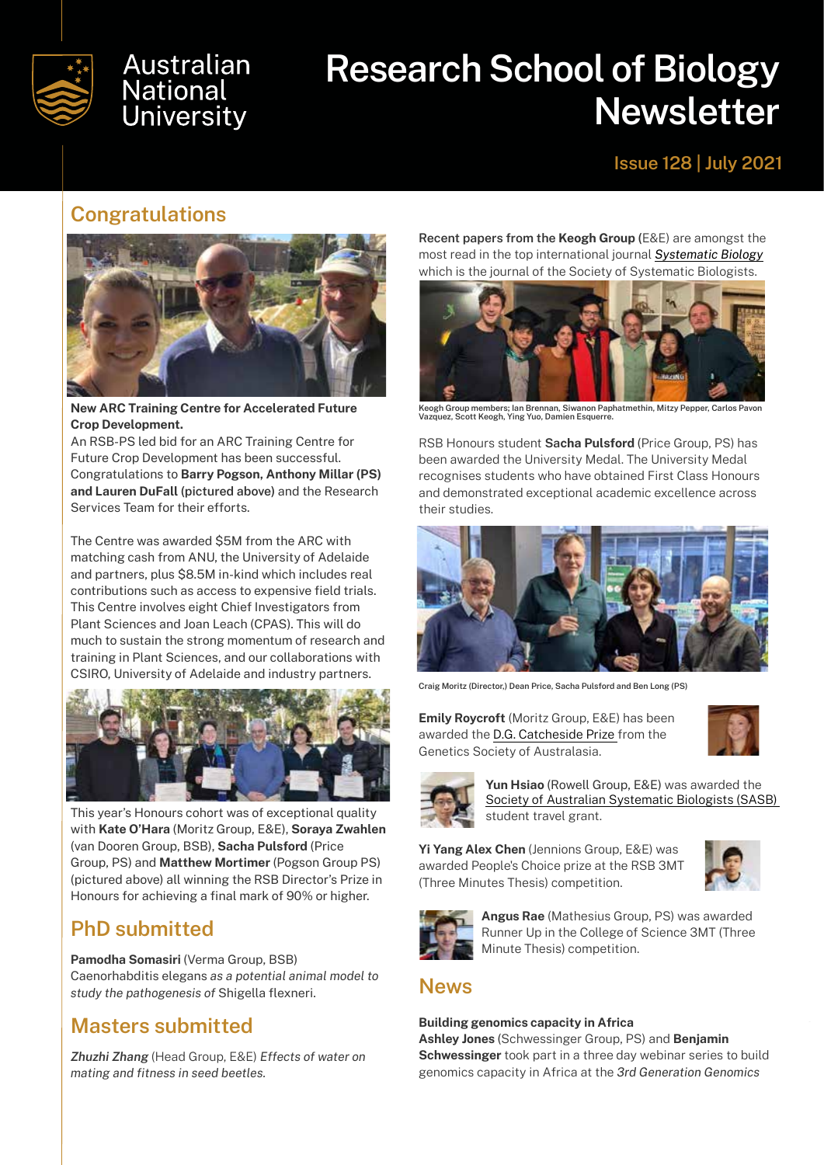

# Australian **National University**

# **Research School of Biology Newsletter**

### **Issue 128 | July 2021**

### **Congratulations**



**New ARC Training Centre for Accelerated Future Crop Development.** 

An RSB-PS led bid for an ARC Training Centre for Future Crop Development has been successful. Congratulations to **Barry Pogson, Anthony Millar (PS) and Lauren DuFall (pictured above)** and the Research Services Team for their efforts.

The Centre was awarded \$5M from the ARC with matching cash from ANU, the University of Adelaide and partners, plus \$8.5M in-kind which includes real contributions such as access to expensive field trials. This Centre involves eight Chief Investigators from Plant Sciences and Joan Leach (CPAS). This will do much to sustain the strong momentum of research and training in Plant Sciences, and our collaborations with CSIRO, University of Adelaide and industry partners.



This year's Honours cohort was of exceptional quality with **Kate O'Hara** (Moritz Group, E&E), **Soraya Zwahlen**  (van Dooren Group, BSB), **Sacha Pulsford** (Price Group, PS) and **Matthew Mortimer** (Pogson Group PS) (pictured above) all winning the RSB Director's Prize in Honours for achieving a final mark of 90% or higher.

# **PhD submitted**

**Pamodha Somasiri** (Verma Group, BSB) Caenorhabditis elegans *as a potential animal model to study the pathogenesis of* Shigella flexneri.

# **Masters submitted**

*Zhuzhi Zhang* (Head Group, E&E) *Effects of water on mating and fitness in seed beetles.*

**Recent papers from the Keogh Group (**E&E) are amongst the most read in the top international journal *[Systematic Biology](https://academic.oup.com/sysbio/pages/high-impact-articles?utm_content=mainstory%2Bcta&utm_source=adestra&utm_medium=email&utm_term=Journals&utm_campaign=oupac-campaign%3A1363920928152757016)* which is the journal of the Society of Systematic Biologists.



**Keogh Group members; Ian Brennan, Siwanon Paphatmethin, Mitzy Pepper, Carlos Pavon Vazquez, Scott Keogh, Ying Yuo, Damien Esquerre.**

RSB Honours student **Sacha Pulsford** (Price Group, PS) has been awarded the University Medal. The University Medal recognises students who have obtained First Class Honours and demonstrated exceptional academic excellence across their studies.



**Craig Moritz (Director,) Dean Price, Sacha Pulsford and Ben Long (PS)** 

**Emily Roycroft** (Moritz Group, E&E) has been awarded the [D.G. Catcheside Prize](https://genetics.org.au/awards/#DG_Catcheside) from the Genetics Society of Australasia.





**Yun Hsiao** (Rowell Group, E&E) was awarded the [Society of Australian Systematic Biologists \(SASB\)](https://www.sasb.org.au/awards)  student travel grant.

**Yi Yang Alex Chen** (Jennions Group, E&E) was awarded People's Choice prize at the RSB 3MT (Three Minutes Thesis) competition.





**Angus Rae** (Mathesius Group, PS) was awarded Runner Up in the College of Science 3MT (Three Minute Thesis) competition.

### **News**

#### **Building genomics capacity in Africa**

**Ashley Jones** (Schwessinger Group, PS) and **Benjamin Schwessinger** took part in a three day webinar series to build genomics capacity in Africa at the *3rd Generation Genomics*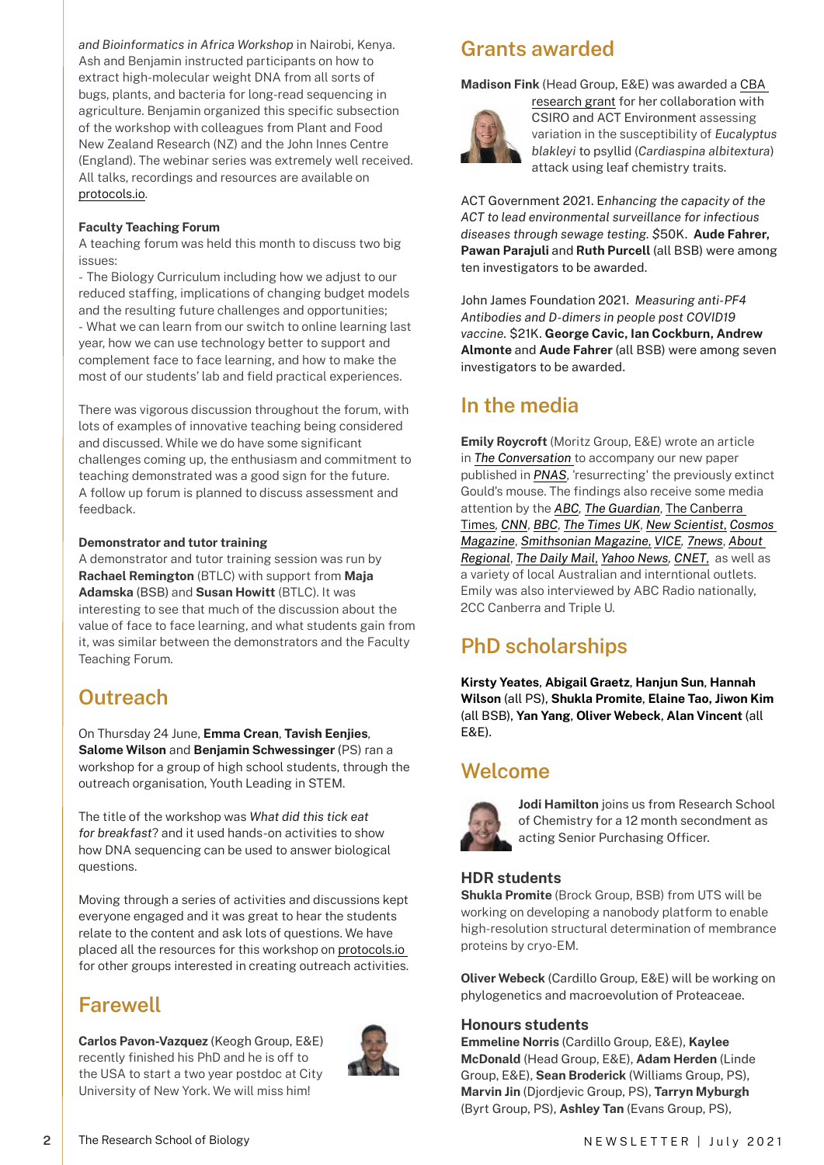*and Bioinformatics in Africa Workshop* in Nairobi, Kenya. Ash and Benjamin instructed participants on how to extract high-molecular weight DNA from all sorts of bugs, plants, and bacteria for long-read sequencing in agriculture. Benjamin organized this specific subsection of the workshop with colleagues from Plant and Food New Zealand Research (NZ) and the John Innes Centre (England). The webinar series was extremely well received. All talks, recordings and resources are available on [protocols.io.](https://www.protocols.io/workspaces/high-molecular-weight-dna-extraction-from-all-kingdoms/resources)

#### **Faculty Teaching Forum**

A teaching forum was held this month to discuss two big issues:

- The Biology Curriculum including how we adjust to our reduced staffing, implications of changing budget models and the resulting future challenges and opportunities; - What we can learn from our switch to online learning last year, how we can use technology better to support and complement face to face learning, and how to make the most of our students' lab and field practical experiences.

There was vigorous discussion throughout the forum, with lots of examples of innovative teaching being considered and discussed. While we do have some significant challenges coming up, the enthusiasm and commitment to teaching demonstrated was a good sign for the future. A follow up forum is planned to discuss assessment and feedback.

#### **Demonstrator and tutor training**

A demonstrator and tutor training session was run by **Rachael Remington** (BTLC) with support from **Maja Adamska** (BSB) and **Susan Howitt** (BTLC). It was interesting to see that much of the discussion about the value of face to face learning, and what students gain from it, was similar between the demonstrators and the Faculty Teaching Forum.

# **Outreach**

On Thursday 24 June, **Emma Crean**, **Tavish Eenjies**, **Salome Wilson** and **Benjamin Schwessinger** (PS) ran a workshop for a group of high school students, through the outreach organisation, Youth Leading in STEM.

The title of the workshop was *What did this tick eat for breakfast*? and it used hands-on activities to show how DNA sequencing can be used to answer biological questions.

Moving through a series of activities and discussions kept everyone engaged and it was great to hear the students relate to the content and ask lots of questions. We have placed all the resources for this workshop on [protocols.io](https://www.protocols.io/private/DCA7FADD130EFFB187267E9E2C6A4D66)  for other groups interested in creating outreach activities.

### **Farewell**

**2**

**Carlos Pavon-Vazquez** (Keogh Group, E&E) recently finished his PhD and he is off to the USA to start a two year postdoc at City University of New York. We will miss him!



# **Grants awarded**

**Madison Fink** (Head Group, E&E) was awarded a [CBA](https://cba.anu.edu.au/opportunities/cba-grants-funding/ignition-grants) 



[research grant](https://cba.anu.edu.au/opportunities/cba-grants-funding/ignition-grants) for her collaboration with CSIRO and ACT Environment assessing variation in the susceptibility of *Eucalyptus blakleyi* to psyllid (*Cardiaspina albitextura*) attack using leaf chemistry traits.

ACT Government 2021. E*nhancing the capacity of the ACT to lead environmental surveillance for infectious diseases through sewage testing. \$*50K. **Aude Fahrer, Pawan Parajuli** and **Ruth Purcell** (all BSB) were among ten investigators to be awarded.

John James Foundation 2021. *Measuring anti-PF4 Antibodies and D-dimers in people post COVID19 vaccine.* \$21K. **George Cavic, Ian Cockburn, Andrew Almonte** and **Aude Fahrer** (all BSB) were among seven investigators to be awarded.

### **In the media**

**Emily Roycroft** (Moritz Group, E&E) wrote an article in *[The Conversation](https://theconversation.com/this-adorable-mouse-was-considered-extinct-for-over-100-years-until-we-found-it-hiding-in-plain-sight-160930)* to accompany our new paper published in *[PNAS](https://www.pnas.org/content/118/27/e2021390118)*, 'resurrecting' the previously extinct Gould's mouse. The findings also receive some media attention by the *[ABC](https://www.abc.net.au/news/science/2021-06-29/extinct-goulds-mouse-alive-shark-bay-wa/100244862), [The Guardian](https://www.theguardian.com/world/2021/jun/29/native-mouse-believed-to-be-extinct-for-150-years-found-off-western-australia)*, [The Canberra](https://www.canberratimes.com.au/story/7316396/mouse-believed-to-be-extinct-resurfaces/)  [Times](https://www.canberratimes.com.au/story/7316396/mouse-believed-to-be-extinct-resurfaces/)*, [CNN](https://edition.cnn.com/2021/06/29/australia/australia-gould-mouse-intl-scli-scn/index.html)*, *[BBC](https://www.bbc.co.uk/newsround/57728227)*, *[The Times UK](https://www.thetimes.co.uk/article/goulds-mouse-that-was-thought-extinct-for-150-years-found-on-australian-island-6tlhg06ph)*, *[New Scientist](https://www.newscientist.com/article/2282406-an-australian-mouse-thought-to-be-extinct-still-survives-on-an-island/)*, *[Cosmos](https://cosmosmagazine.com/nature/animals/this-adorable-mouse-was-considered-extinct-for-over-100-years-until-we-found-it-hiding-in-plain-sight/) [Magazine](https://cosmosmagazine.com/nature/animals/this-adorable-mouse-was-considered-extinct-for-over-100-years-until-we-found-it-hiding-in-plain-sight/)*, *[Smithsonian Magazine](https://www.smithsonianmag.com/smart-news/australian-mouse-presumed-extinct-more-century-found-alive-island-180978086/)*, *[VICE](https://www.vice.com/en/article/qj8zn5/mouse-thought-to-be-extinct-for-150-years-found-alive-on-an-island), [7news](https://7news.com.au/technology/extinct-native-mouse-found-on-wa-islands-c-3253217)*, *[About](https://aboutregional.com.au/anu-researchers-find-mainland-mouse-thought-to-be-extinct-off-wa-coast/?fbclid=IwAR0wa8S6lXSl3VHMqz3KWFTQNynSqGJXrEbeYp6cE1FnDPeBQOVzLvSBWKc)  [Regional](https://aboutregional.com.au/anu-researchers-find-mainland-mouse-thought-to-be-extinct-off-wa-coast/?fbclid=IwAR0wa8S6lXSl3VHMqz3KWFTQNynSqGJXrEbeYp6cE1FnDPeBQOVzLvSBWKc)*, *[The Daily Mail](https://www.dailymail.co.uk/news/article-9735209/Scientists-discover-extinct-native-Goulds-mouse-living-islands-Western-Australia.html)*, *[Yahoo News](https://uk.news.yahoo.com/shock-brings-extinct-mouse-back-082905175.html?guccounter=1&guce_referrer=aHR0cHM6Ly9wbmFzLmFsdG1ldHJpYy5jb20vZGV0YWlscy8xMDgzMzAxNTkvbmV3cw&guce_referrer_sig=AQAAAMF9yhwP3_8KfD1NhFD8gInzJZNZ39miHfnyLpidgyiZnXBASUUegG6_dM8njlTjFxoUnBDG0IX0mdiSrr7DPVXlrJcUFjJ8RMg29d04XL2ndPpzJe2Ajqaglm6LSgUtFKxl8iR-AJ0LON2NJGXHGkytzZ46li1h6uUL0Nv7LKES), [CNET](https://www.cnet.com/news/back-from-the-dead-scientists-discover-mouse-believed-to-be-extinct-for-150-years/#ftag=CAD590a51e)*, as well as a variety of local Australian and interntional outlets. Emily was also interviewed by ABC Radio nationally, 2CC Canberra and Triple U.

# **PhD scholarships**

**Kirsty Yeates**, **Abigail Graetz**, **Hanjun Sun**, **Hannah Wilson** (all PS), **Shukla Promite**, **Elaine Tao, Jiwon Kim** (all BSB), **Yan Yang**, **Oliver Webeck**, **Alan Vincent** (all E&E).

### **Welcome**



**Jodi Hamilton** joins us from Research School of Chemistry for a 12 month secondment as acting Senior Purchasing Officer.

#### **HDR students**

**Shukla Promite** (Brock Group, BSB) from UTS will be working on developing a nanobody platform to enable high-resolution structural determination of membrance proteins by cryo-EM.

**Oliver Webeck** (Cardillo Group, E&E) will be working on phylogenetics and macroevolution of Proteaceae.

#### **Honours students**

**Emmeline Norris** (Cardillo Group, E&E), **Kaylee McDonald** (Head Group, E&E), **Adam Herden** (Linde Group, E&E), **Sean Broderick** (Williams Group, PS), **Marvin Jin** (Djordjevic Group, PS), **Tarryn Myburgh** (Byrt Group, PS), **Ashley Tan** (Evans Group, PS),